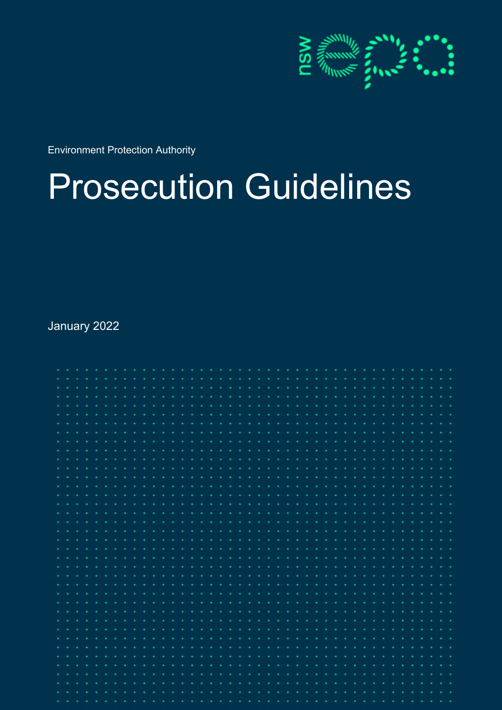

Environment Protection Authority

# Prosecution Guidelines

January 2022

| $\mathbf{a}=\mathbf{a}$   |  |  |        |                     |    | ٠ |  |      |            |                             |          | . . | - 1 | $\mathcal{L}_{\mathcal{A}}$ |  |                        |          |        |                | ٠.       | <b>.</b> | $\sim$ |  |      |   |  |  |  |  |
|---------------------------|--|--|--------|---------------------|----|---|--|------|------------|-----------------------------|----------|-----|-----|-----------------------------|--|------------------------|----------|--------|----------------|----------|----------|--------|--|------|---|--|--|--|--|
| ٠.                        |  |  |        |                     |    |   |  | - 10 | <b>A</b>   |                             |          |     |     | $\sim$                      |  | <b>Service Control</b> |          |        |                |          |          | $\sim$ |  |      |   |  |  |  |  |
| ٠                         |  |  |        |                     |    |   |  |      |            |                             |          |     |     |                             |  |                        |          |        |                |          |          |        |  |      |   |  |  |  |  |
| ×.                        |  |  |        |                     |    |   |  |      |            |                             |          |     |     |                             |  |                        |          |        |                |          |          |        |  |      |   |  |  |  |  |
| $\bullet$                 |  |  |        |                     |    |   |  |      |            |                             |          |     |     |                             |  |                        |          |        |                |          |          |        |  |      |   |  |  |  |  |
| ×.                        |  |  |        |                     |    |   |  |      |            |                             |          |     |     |                             |  |                        |          |        |                |          |          |        |  |      |   |  |  |  |  |
| $\bullet$                 |  |  |        |                     |    |   |  |      |            |                             |          |     |     |                             |  |                        |          |        |                |          |          |        |  |      |   |  |  |  |  |
| ×.                        |  |  |        |                     |    |   |  |      |            |                             |          |     |     |                             |  |                        |          |        |                |          |          |        |  |      |   |  |  |  |  |
| ×.                        |  |  |        |                     |    |   |  |      |            |                             |          |     |     |                             |  |                        |          |        |                |          |          |        |  |      |   |  |  |  |  |
| ×.                        |  |  |        |                     |    |   |  |      |            |                             |          |     |     |                             |  |                        |          |        |                |          |          |        |  |      |   |  |  |  |  |
| ×.                        |  |  |        |                     |    |   |  |      |            |                             |          |     |     |                             |  |                        |          |        |                |          |          |        |  |      |   |  |  |  |  |
|                           |  |  |        |                     |    |   |  |      |            |                             |          |     |     |                             |  |                        |          |        |                |          |          |        |  |      |   |  |  |  |  |
|                           |  |  |        |                     |    |   |  |      |            |                             |          |     |     |                             |  |                        |          |        |                |          |          |        |  |      |   |  |  |  |  |
|                           |  |  |        |                     |    |   |  |      |            |                             |          |     |     |                             |  |                        |          |        |                |          |          |        |  |      |   |  |  |  |  |
|                           |  |  |        |                     |    |   |  |      |            |                             |          |     |     |                             |  |                        |          |        |                |          |          |        |  |      |   |  |  |  |  |
|                           |  |  |        |                     |    |   |  |      |            |                             |          |     |     |                             |  |                        |          |        |                |          |          |        |  |      |   |  |  |  |  |
|                           |  |  |        |                     |    |   |  |      |            |                             |          |     |     |                             |  |                        |          |        |                |          |          |        |  |      |   |  |  |  |  |
|                           |  |  |        |                     |    |   |  |      |            |                             |          |     |     |                             |  |                        |          |        |                |          |          |        |  |      |   |  |  |  |  |
|                           |  |  |        |                     |    |   |  |      |            |                             |          |     |     |                             |  |                        |          |        |                |          |          |        |  |      |   |  |  |  |  |
|                           |  |  |        |                     |    |   |  |      |            |                             |          |     |     |                             |  |                        |          |        |                |          |          |        |  |      |   |  |  |  |  |
|                           |  |  |        |                     |    |   |  |      |            |                             |          |     |     |                             |  |                        |          |        |                |          |          |        |  |      |   |  |  |  |  |
| ×.                        |  |  |        |                     |    |   |  |      |            |                             |          |     |     |                             |  |                        |          |        |                |          |          |        |  |      |   |  |  |  |  |
| $\bullet$ .               |  |  |        |                     |    |   |  |      |            |                             |          |     |     |                             |  |                        |          |        |                |          |          |        |  |      |   |  |  |  |  |
| $\mathbf{a}$ .            |  |  |        | $\bullet$           | ×. |   |  |      |            | $\mathbf{r}$                | ø        | n.  |     |                             |  |                        |          |        |                | <b>A</b> |          |        |  |      |   |  |  |  |  |
| $\mathbf{r}$ .            |  |  |        |                     |    |   |  |      |            |                             |          |     |     |                             |  |                        |          |        |                |          |          |        |  |      |   |  |  |  |  |
| $\bullet$                 |  |  |        |                     |    |   |  |      | ×.         | ٠                           |          |     |     |                             |  |                        | - 1      | ٠      |                |          |          |        |  |      |   |  |  |  |  |
| $\bullet$                 |  |  |        |                     |    |   |  |      | ×.         | ٠                           |          |     |     |                             |  |                        | ×.       | ×      |                |          |          |        |  |      |   |  |  |  |  |
| $\mathbf{a} = \mathbf{a}$ |  |  |        |                     |    |   |  |      | . .        | $\bullet$                   |          |     |     |                             |  |                        | n.       | ×      |                |          |          |        |  |      |   |  |  |  |  |
| $\mathbf{a} = \mathbf{a}$ |  |  | ٠      |                     |    |   |  |      | - 11       | $\mathcal{L}_{\mathcal{A}}$ | <b>A</b> |     |     |                             |  | <b>Contract</b>        |          | $\sim$ | <b>Section</b> |          |          |        |  | - 11 | ٠ |  |  |  |  |
| $\bullet$                 |  |  | $\sim$ |                     |    |   |  |      | <b>COL</b> | $\sim$                      | -41      |     |     |                             |  |                        |          | ×      |                |          |          |        |  |      | ٠ |  |  |  |  |
| $\bullet$                 |  |  |        | $\alpha = \alpha$ . |    |   |  |      | ۰.         | $\sim$                      |          |     |     |                             |  |                        | <b>A</b> | $\sim$ |                |          |          |        |  |      |   |  |  |  |  |
| $\bullet$ .               |  |  | ×.     |                     |    |   |  |      |            | ×                           |          |     |     |                             |  |                        |          | ×      |                |          |          |        |  |      |   |  |  |  |  |
| $\bullet$                 |  |  |        |                     |    |   |  |      |            |                             |          |     |     |                             |  |                        |          |        |                |          |          |        |  |      |   |  |  |  |  |
|                           |  |  |        |                     |    |   |  |      |            |                             |          |     |     |                             |  |                        |          |        |                |          |          |        |  |      |   |  |  |  |  |
|                           |  |  |        |                     |    |   |  |      |            |                             |          |     |     |                             |  |                        |          |        |                |          |          |        |  |      |   |  |  |  |  |
|                           |  |  |        |                     |    |   |  |      |            |                             |          |     |     |                             |  |                        |          |        |                |          |          |        |  |      |   |  |  |  |  |
| ×.                        |  |  |        |                     |    |   |  |      |            |                             |          |     |     |                             |  |                        |          |        |                |          |          |        |  |      |   |  |  |  |  |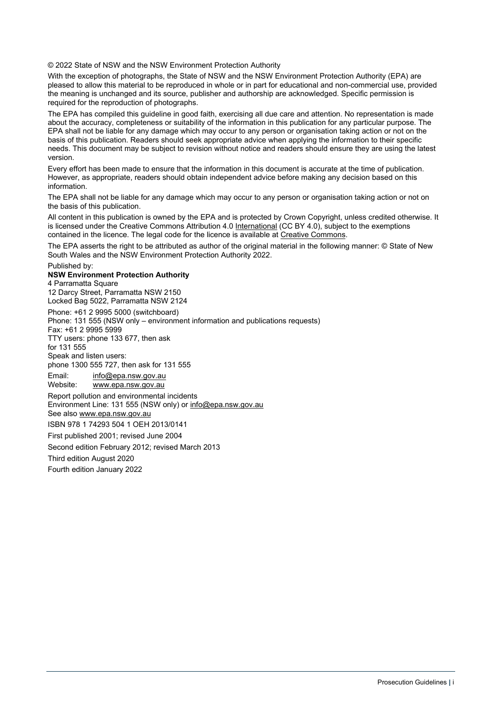© 2022 State of NSW and the NSW Environment Protection Authority

With the exception of photographs, the State of NSW and the NSW Environment Protection Authority (EPA) are pleased to allow this material to be reproduced in whole or in part for educational and non-commercial use, provided the meaning is unchanged and its source, publisher and authorship are acknowledged. Specific permission is required for the reproduction of photographs.

The EPA has compiled this guideline in good faith, exercising all due care and attention. No representation is made about the accuracy, completeness or suitability of the information in this publication for any particular purpose. The EPA shall not be liable for any damage which may occur to any person or organisation taking action or not on the basis of this publication. Readers should seek appropriate advice when applying the information to their specific needs. This document may be subject to revision without notice and readers should ensure they are using the latest version.

Every effort has been made to ensure that the information in this document is accurate at the time of publication. However, as appropriate, readers should obtain independent advice before making any decision based on this information.

The EPA shall not be liable for any damage which may occur to any person or organisation taking action or not on the basis of this publication.

All content in this publication is owned by the EPA and is protected by Crown Copyright, unless credited otherwise. It is licensed under the Creative Commons Attribution 4.0 [International](http://creativecommons.org/licenses/by/4.0/deed.en) (CC BY 4.0), subject to the exemptions contained in the licence. The legal code for the licence is available at [Creative Commons.](http://creativecommons.org/licenses/by/4.0/legalcode)

The EPA asserts the right to be attributed as author of the original material in the following manner: © State of New South Wales and the NSW Environment Protection Authority 2022.

Published by:

#### **NSW Environment Protection Authority**

4 Parramatta Square 12 Darcy Street, Parramatta NSW 2150 Locked Bag 5022, Parramatta NSW 2124 Phone: +61 2 9995 5000 (switchboard) Phone: 131 555 (NSW only – environment information and publications requests) Fax: +61 2 9995 5999 TTY users: phone 133 677, then ask for 131 555 Speak and listen users: phone 1300 555 727, then ask for 131 555 Email: [info@epa.nsw.gov.au](mailto:info@epa.nsw.gov.au)  Website: [www.epa.nsw.gov.au](http://www.epa.nsw.gov.au/) Report pollution and environmental incidents Environment Line: 131 555 (NSW only) or [info@epa.nsw.gov.au](mailto:info@epa.nsw.gov.au) See also [www.epa.nsw.gov.au](http://www.epa.nsw.gov.au/)  ISBN 978 1 74293 504 1 OEH 2013/0141 First published 2001; revised June 2004 Second edition February 2012; revised March 2013 Third edition August 2020 Fourth edition January 2022

Prosecution Guidelines **|** i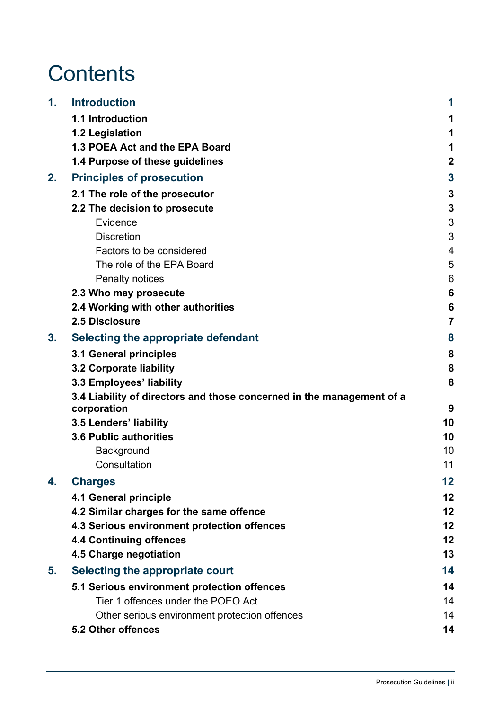# **Contents**

| 1. | <b>Introduction</b>                                                                  | 1            |  |  |  |  |  |  |  |  |  |  |
|----|--------------------------------------------------------------------------------------|--------------|--|--|--|--|--|--|--|--|--|--|
|    | 1.1 Introduction                                                                     |              |  |  |  |  |  |  |  |  |  |  |
|    | 1.2 Legislation                                                                      |              |  |  |  |  |  |  |  |  |  |  |
|    | 1.3 POEA Act and the EPA Board                                                       |              |  |  |  |  |  |  |  |  |  |  |
|    | 1.4 Purpose of these guidelines                                                      | $\mathbf{2}$ |  |  |  |  |  |  |  |  |  |  |
| 2. | <b>Principles of prosecution</b>                                                     |              |  |  |  |  |  |  |  |  |  |  |
|    | 2.1 The role of the prosecutor                                                       |              |  |  |  |  |  |  |  |  |  |  |
|    | 2.2 The decision to prosecute                                                        | 3            |  |  |  |  |  |  |  |  |  |  |
|    | Evidence                                                                             |              |  |  |  |  |  |  |  |  |  |  |
|    | <b>Discretion</b>                                                                    |              |  |  |  |  |  |  |  |  |  |  |
|    | Factors to be considered                                                             | 4            |  |  |  |  |  |  |  |  |  |  |
|    | The role of the EPA Board                                                            | 5            |  |  |  |  |  |  |  |  |  |  |
|    | <b>Penalty notices</b>                                                               | 6            |  |  |  |  |  |  |  |  |  |  |
|    | 2.3 Who may prosecute                                                                |              |  |  |  |  |  |  |  |  |  |  |
|    | 2.4 Working with other authorities                                                   |              |  |  |  |  |  |  |  |  |  |  |
|    | 2.5 Disclosure                                                                       | 7            |  |  |  |  |  |  |  |  |  |  |
| 3. | Selecting the appropriate defendant                                                  |              |  |  |  |  |  |  |  |  |  |  |
|    | 3.1 General principles                                                               |              |  |  |  |  |  |  |  |  |  |  |
|    | 3.2 Corporate liability                                                              |              |  |  |  |  |  |  |  |  |  |  |
|    | 3.3 Employees' liability                                                             |              |  |  |  |  |  |  |  |  |  |  |
|    | 3.4 Liability of directors and those concerned in the management of a<br>corporation | 9            |  |  |  |  |  |  |  |  |  |  |
|    | 3.5 Lenders' liability                                                               | 10           |  |  |  |  |  |  |  |  |  |  |
|    | <b>3.6 Public authorities</b>                                                        | 10           |  |  |  |  |  |  |  |  |  |  |
|    | Background                                                                           | 10           |  |  |  |  |  |  |  |  |  |  |
|    | Consultation                                                                         | 11           |  |  |  |  |  |  |  |  |  |  |
| 4. | <b>Charges</b>                                                                       | 12           |  |  |  |  |  |  |  |  |  |  |
|    | 4.1 General principle                                                                | 12           |  |  |  |  |  |  |  |  |  |  |
|    | 4.2 Similar charges for the same offence                                             | 12           |  |  |  |  |  |  |  |  |  |  |
|    | 4.3 Serious environment protection offences                                          |              |  |  |  |  |  |  |  |  |  |  |
|    | <b>4.4 Continuing offences</b>                                                       |              |  |  |  |  |  |  |  |  |  |  |
|    | 4.5 Charge negotiation                                                               | 13           |  |  |  |  |  |  |  |  |  |  |
| 5. | Selecting the appropriate court                                                      | 14           |  |  |  |  |  |  |  |  |  |  |
|    | 5.1 Serious environment protection offences                                          | 14           |  |  |  |  |  |  |  |  |  |  |
|    | Tier 1 offences under the POEO Act                                                   | 14           |  |  |  |  |  |  |  |  |  |  |
|    | Other serious environment protection offences                                        | 14           |  |  |  |  |  |  |  |  |  |  |
|    | 5.2 Other offences                                                                   | 14           |  |  |  |  |  |  |  |  |  |  |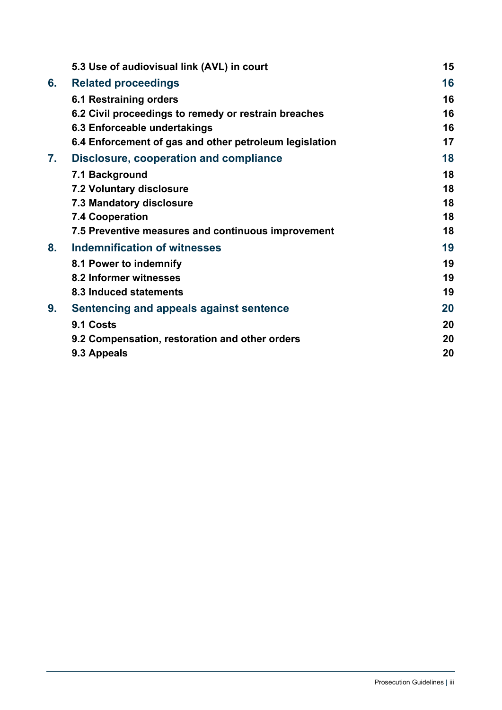|    | 5.3 Use of audiovisual link (AVL) in court             | 15 |
|----|--------------------------------------------------------|----|
| 6. | <b>Related proceedings</b>                             | 16 |
|    | <b>6.1 Restraining orders</b>                          | 16 |
|    | 6.2 Civil proceedings to remedy or restrain breaches   | 16 |
|    | 6.3 Enforceable undertakings                           | 16 |
|    | 6.4 Enforcement of gas and other petroleum legislation | 17 |
| 7. | <b>Disclosure, cooperation and compliance</b>          | 18 |
|    | 7.1 Background                                         | 18 |
|    | <b>7.2 Voluntary disclosure</b>                        | 18 |
|    | <b>7.3 Mandatory disclosure</b>                        | 18 |
|    | <b>7.4 Cooperation</b>                                 | 18 |
|    | 7.5 Preventive measures and continuous improvement     | 18 |
| 8. | <b>Indemnification of witnesses</b>                    | 19 |
|    | 8.1 Power to indemnify                                 | 19 |
|    | 8.2 Informer witnesses                                 | 19 |
|    | 8.3 Induced statements                                 | 19 |
| 9. | Sentencing and appeals against sentence                | 20 |
|    | 9.1 Costs                                              | 20 |
|    | 9.2 Compensation, restoration and other orders         | 20 |
|    | 9.3 Appeals                                            | 20 |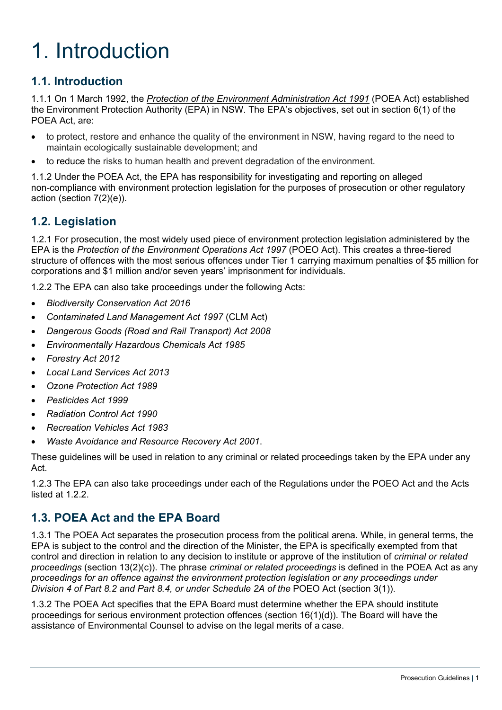# <span id="page-4-0"></span>1. Introduction

## <span id="page-4-1"></span>**1.1. Introduction**

1.1.1 On 1 March 1992, the *[Protection of the Environment Administration Act 1991](https://www.legislation.nsw.gov.au/%23/view/act/1991/60)* (POEA Act) established the Environment Protection Authority (EPA) in NSW. The EPA's objectives, set out in section 6(1) of the POEA Act, are:

- to protect, restore and enhance the quality of the environment in NSW, having regard to the need to maintain ecologically sustainable development; and
- to reduce the risks to human health and prevent degradation of the environment.

1.1.2 Under the POEA Act, the EPA has responsibility for investigating and reporting on alleged non-compliance with environment protection legislation for the purposes of prosecution or other regulatory action (section 7(2)(e)).

### <span id="page-4-2"></span>**1.2. Legislation**

1.2.1 For prosecution, the most widely used piece of environment protection legislation administered by the EPA is the *Protection of the Environment Operations Act 1997* (POEO Act). This creates a three-tiered structure of offences with the most serious offences under Tier 1 carrying maximum penalties of \$5 million for corporations and \$1 million and/or seven years' imprisonment for individuals.

1.2.2 The EPA can also take proceedings under the following Acts:

- *Biodiversity Conservation Act 2016*
- *Contaminated Land Management Act 1997* (CLM Act)
- *Dangerous Goods (Road and Rail Transport) Act 2008*
- *Environmentally Hazardous Chemicals Act 1985*
- *Forestry Act 2012*
- *Local Land Services Act 2013*
- *Ozone Protection Act 1989*
- *Pesticides Act 1999*
- *Radiation Control Act 1990*
- *Recreation Vehicles Act 1983*
- *Waste Avoidance and Resource Recovery Act 2001*.

These guidelines will be used in relation to any criminal or related proceedings taken by the EPA under any Act.

1.2.3 The EPA can also take proceedings under each of the Regulations under the POEO Act and the Acts listed at 1.2.2.

#### <span id="page-4-3"></span>**1.3. POEA Act and the EPA Board**

1.3.1 The POEA Act separates the prosecution process from the political arena. While, in general terms, the EPA is subject to the control and the direction of the Minister, the EPA is specifically exempted from that control and direction in relation to any decision to institute or approve of the institution of *criminal or related proceedings* (section 13(2)(c)). The phrase *criminal or related proceedings* is defined in the POEA Act as any *proceedings for an offence against the environment protection legislation or any proceedings under Division 4 of Part 8.2 and Part 8.4, or under Schedule 2A of the* POEO Act (section 3(1)).

1.3.2 The POEA Act specifies that the EPA Board must determine whether the EPA should institute proceedings for serious environment protection offences (section 16(1)(d)). The Board will have the assistance of Environmental Counsel to advise on the legal merits of a case.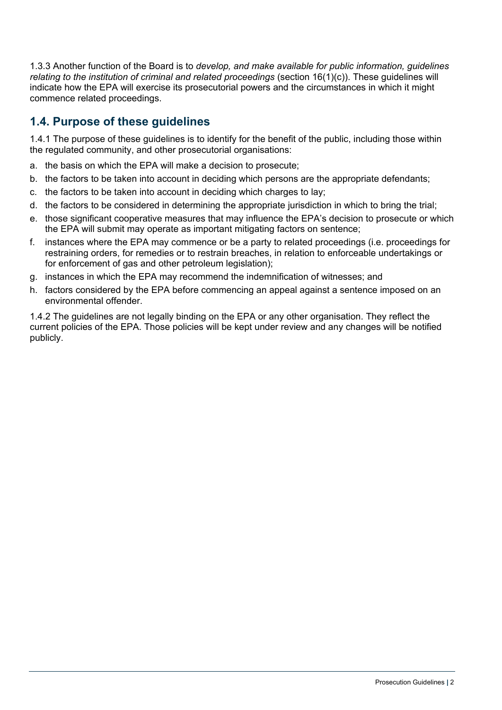1.3.3 Another function of the Board is to *develop, and make available for public information, guidelines*  relating to the institution of criminal and related proceedings (section 16(1)(c)). These guidelines will indicate how the EPA will exercise its prosecutorial powers and the circumstances in which it might commence related proceedings.

## <span id="page-5-0"></span>**1.4. Purpose of these guidelines**

1.4.1 The purpose of these guidelines is to identify for the benefit of the public, including those within the regulated community, and other prosecutorial organisations:

- a. the basis on which the EPA will make a decision to prosecute;
- b. the factors to be taken into account in deciding which persons are the appropriate defendants;
- c. the factors to be taken into account in deciding which charges to lay;
- d. the factors to be considered in determining the appropriate jurisdiction in which to bring the trial;
- e. those significant cooperative measures that may influence the EPA's decision to prosecute or which the EPA will submit may operate as important mitigating factors on sentence;
- f. instances where the EPA may commence or be a party to related proceedings (i.e. proceedings for restraining orders, for remedies or to restrain breaches, in relation to enforceable undertakings or for enforcement of gas and other petroleum legislation);
- g. instances in which the EPA may recommend the indemnification of witnesses; and
- h. factors considered by the EPA before commencing an appeal against a sentence imposed on an environmental offender.

1.4.2 The guidelines are not legally binding on the EPA or any other organisation. They reflect the current policies of the EPA. Those policies will be kept under review and any changes will be notified publicly.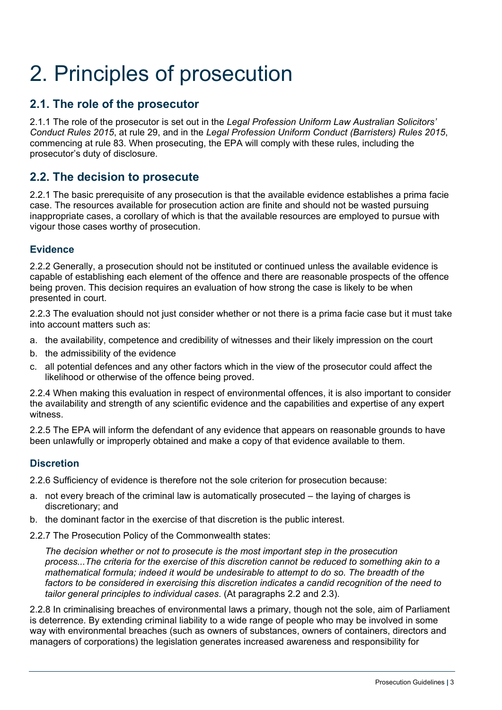# <span id="page-6-0"></span>2. Principles of prosecution

### <span id="page-6-1"></span>**2.1. The role of the prosecutor**

2.1.1 The role of the prosecutor is set out in the *Legal Profession Uniform Law Australian Solicitors' Conduct Rules 2015*, at rule 29, and in the *Legal Profession Uniform Conduct (Barristers) Rules 2015*, commencing at rule 83. When prosecuting, the EPA will comply with these rules, including the prosecutor's duty of disclosure.

#### <span id="page-6-2"></span>**2.2. The decision to prosecute**

2.2.1 The basic prerequisite of any prosecution is that the available evidence establishes a prima facie case. The resources available for prosecution action are finite and should not be wasted pursuing inappropriate cases, a corollary of which is that the available resources are employed to pursue with vigour those cases worthy of prosecution.

#### <span id="page-6-3"></span>**Evidence**

2.2.2 Generally, a prosecution should not be instituted or continued unless the available evidence is capable of establishing each element of the offence and there are reasonable prospects of the offence being proven. This decision requires an evaluation of how strong the case is likely to be when presented in court.

2.2.3 The evaluation should not just consider whether or not there is a prima facie case but it must take into account matters such as:

- a. the availability, competence and credibility of witnesses and their likely impression on the court
- b. the admissibility of the evidence
- c. all potential defences and any other factors which in the view of the prosecutor could affect the likelihood or otherwise of the offence being proved.

2.2.4 When making this evaluation in respect of environmental offences, it is also important to consider the availability and strength of any scientific evidence and the capabilities and expertise of any expert witness.

2.2.5 The EPA will inform the defendant of any evidence that appears on reasonable grounds to have been unlawfully or improperly obtained and make a copy of that evidence available to them.

#### <span id="page-6-4"></span>**Discretion**

2.2.6 Sufficiency of evidence is therefore not the sole criterion for prosecution because:

- a. not every breach of the criminal law is automatically prosecuted the laying of charges is discretionary; and
- b. the dominant factor in the exercise of that discretion is the public interest.
- 2.2.7 The Prosecution Policy of the Commonwealth states:

*The decision whether or not to prosecute is the most important step in the prosecution process...The criteria for the exercise of this discretion cannot be reduced to something akin to a mathematical formula; indeed it would be undesirable to attempt to do so. The breadth of the factors to be considered in exercising this discretion indicates a candid recognition of the need to tailor general principles to individual cases*. (At paragraphs 2.2 and 2.3).

2.2.8 In criminalising breaches of environmental laws a primary, though not the sole, aim of Parliament is deterrence. By extending criminal liability to a wide range of people who may be involved in some way with environmental breaches (such as owners of substances, owners of containers, directors and managers of corporations) the legislation generates increased awareness and responsibility for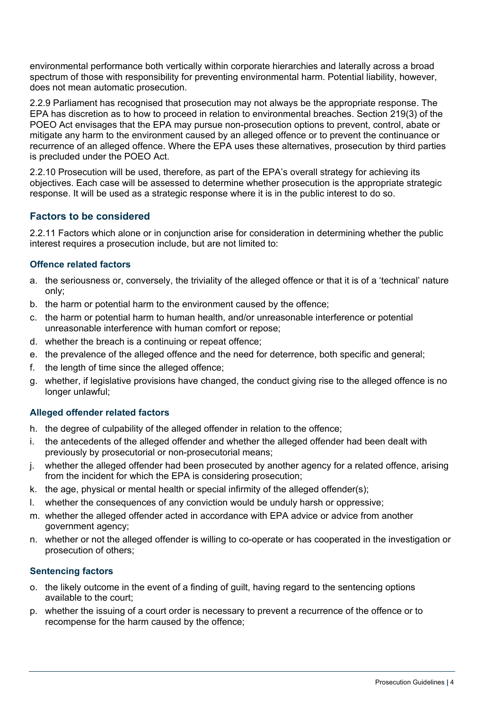environmental performance both vertically within corporate hierarchies and laterally across a broad spectrum of those with responsibility for preventing environmental harm. Potential liability, however, does not mean automatic prosecution.

2.2.9 Parliament has recognised that prosecution may not always be the appropriate response. The EPA has discretion as to how to proceed in relation to environmental breaches. Section 219(3) of the POEO Act envisages that the EPA may pursue non-prosecution options to prevent, control, abate or mitigate any harm to the environment caused by an alleged offence or to prevent the continuance or recurrence of an alleged offence. Where the EPA uses these alternatives, prosecution by third parties is precluded under the POEO Act.

2.2.10 Prosecution will be used, therefore, as part of the EPA's overall strategy for achieving its objectives. Each case will be assessed to determine whether prosecution is the appropriate strategic response. It will be used as a strategic response where it is in the public interest to do so.

#### <span id="page-7-0"></span>**Factors to be considered**

2.2.11 Factors which alone or in conjunction arise for consideration in determining whether the public interest requires a prosecution include, but are not limited to:

#### **Offence related factors**

- a. the seriousness or, conversely, the triviality of the alleged offence or that it is of a 'technical' nature only;
- b. the harm or potential harm to the environment caused by the offence;
- c. the harm or potential harm to human health, and/or unreasonable interference or potential unreasonable interference with human comfort or repose;
- d. whether the breach is a continuing or repeat offence;
- e. the prevalence of the alleged offence and the need for deterrence, both specific and general;
- f. the length of time since the alleged offence;
- g. whether, if legislative provisions have changed, the conduct giving rise to the alleged offence is no longer unlawful;

#### **Alleged offender related factors**

- h. the degree of culpability of the alleged offender in relation to the offence;
- i. the antecedents of the alleged offender and whether the alleged offender had been dealt with previously by prosecutorial or non-prosecutorial means;
- j. whether the alleged offender had been prosecuted by another agency for a related offence, arising from the incident for which the EPA is considering prosecution;
- k. the age, physical or mental health or special infirmity of the alleged offender(s);
- l. whether the consequences of any conviction would be unduly harsh or oppressive;
- m. whether the alleged offender acted in accordance with EPA advice or advice from another government agency;
- n. whether or not the alleged offender is willing to co-operate or has cooperated in the investigation or prosecution of others;

#### **Sentencing factors**

- o. the likely outcome in the event of a finding of guilt, having regard to the sentencing options available to the court;
- p. whether the issuing of a court order is necessary to prevent a recurrence of the offence or to recompense for the harm caused by the offence;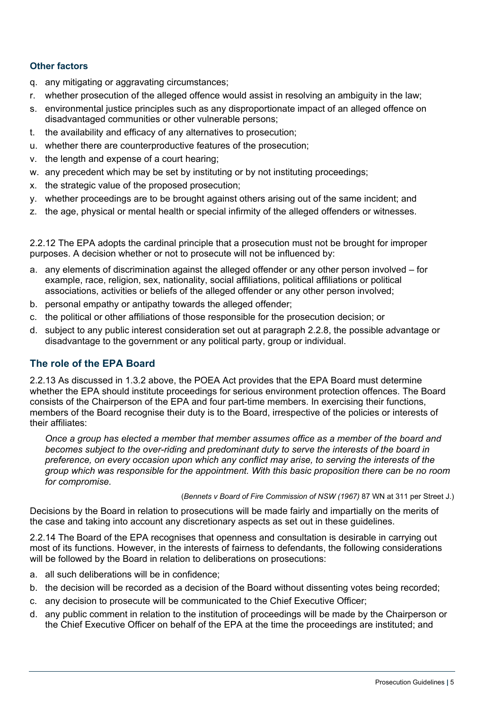#### **Other factors**

- q. any mitigating or aggravating circumstances;
- r. whether prosecution of the alleged offence would assist in resolving an ambiguity in the law;
- s. environmental justice principles such as any disproportionate impact of an alleged offence on disadvantaged communities or other vulnerable persons;
- t. the availability and efficacy of any alternatives to prosecution;
- u. whether there are counterproductive features of the prosecution;
- v. the length and expense of a court hearing;
- w. any precedent which may be set by instituting or by not instituting proceedings;
- x. the strategic value of the proposed prosecution;
- y. whether proceedings are to be brought against others arising out of the same incident; and
- z. the age, physical or mental health or special infirmity of the alleged offenders or witnesses.

2.2.12 The EPA adopts the cardinal principle that a prosecution must not be brought for improper purposes. A decision whether or not to prosecute will not be influenced by:

- a. any elements of discrimination against the alleged offender or any other person involved for example, race, religion, sex, nationality, social affiliations, political affiliations or political associations, activities or beliefs of the alleged offender or any other person involved;
- b. personal empathy or antipathy towards the alleged offender;
- c. the political or other affiliations of those responsible for the prosecution decision; or
- d. subject to any public interest consideration set out at paragraph 2.2.8, the possible advantage or disadvantage to the government or any political party, group or individual.

#### <span id="page-8-0"></span>**The role of the EPA Board**

2.2.13 As discussed in 1.3.2 above, the POEA Act provides that the EPA Board must determine whether the EPA should institute proceedings for serious environment protection offences. The Board consists of the Chairperson of the EPA and four part-time members. In exercising their functions, members of the Board recognise their duty is to the Board, irrespective of the policies or interests of their affiliates:

*Once a group has elected a member that member assumes office as a member of the board and becomes subject to the over-riding and predominant duty to serve the interests of the board in preference, on every occasion upon which any conflict may arise, to serving the interests of the group which was responsible for the appointment. With this basic proposition there can be no room for compromise.*

(*Bennets v Board of Fire Commission of NSW (1967)* 87 WN at 311 per Street J.)

Decisions by the Board in relation to prosecutions will be made fairly and impartially on the merits of the case and taking into account any discretionary aspects as set out in these guidelines.

2.2.14 The Board of the EPA recognises that openness and consultation is desirable in carrying out most of its functions. However, in the interests of fairness to defendants, the following considerations will be followed by the Board in relation to deliberations on prosecutions:

- a. all such deliberations will be in confidence;
- b. the decision will be recorded as a decision of the Board without dissenting votes being recorded;
- c. any decision to prosecute will be communicated to the Chief Executive Officer;
- d. any public comment in relation to the institution of proceedings will be made by the Chairperson or the Chief Executive Officer on behalf of the EPA at the time the proceedings are instituted; and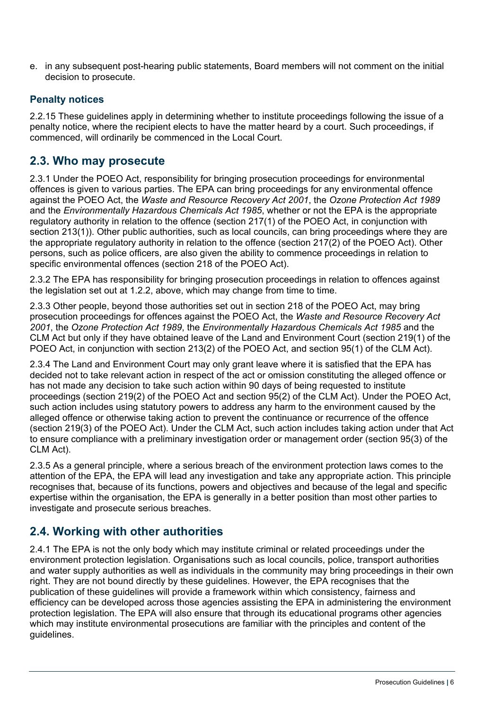e. in any subsequent post-hearing public statements, Board members will not comment on the initial decision to prosecute.

#### <span id="page-9-0"></span>**Penalty notices**

2.2.15 These guidelines apply in determining whether to institute proceedings following the issue of a penalty notice, where the recipient elects to have the matter heard by a court. Such proceedings, if commenced, will ordinarily be commenced in the Local Court.

#### <span id="page-9-1"></span>**2.3. Who may prosecute**

2.3.1 Under the POEO Act, responsibility for bringing prosecution proceedings for environmental offences is given to various parties. The EPA can bring proceedings for any environmental offence against the POEO Act, the *Waste and Resource Recovery Act 2001*, the *Ozone Protection Act 1989* and the *Environmentally Hazardous Chemicals Act 1985*, whether or not the EPA is the appropriate regulatory authority in relation to the offence (section 217(1) of the POEO Act, in conjunction with section 213(1)). Other public authorities, such as local councils, can bring proceedings where they are the appropriate regulatory authority in relation to the offence (section 217(2) of the POEO Act). Other persons, such as police officers, are also given the ability to commence proceedings in relation to specific environmental offences (section 218 of the POEO Act).

2.3.2 The EPA has responsibility for bringing prosecution proceedings in relation to offences against the legislation set out at 1.2.2, above, which may change from time to time.

2.3.3 Other people, beyond those authorities set out in section 218 of the POEO Act, may bring prosecution proceedings for offences against the POEO Act, the *Waste and Resource Recovery Act 2001*, the *Ozone Protection Act 1989*, the *Environmentally Hazardous Chemicals Act 1985* and the CLM Act but only if they have obtained leave of the Land and Environment Court (section 219(1) of the POEO Act, in conjunction with section 213(2) of the POEO Act, and section 95(1) of the CLM Act).

2.3.4 The Land and Environment Court may only grant leave where it is satisfied that the EPA has decided not to take relevant action in respect of the act or omission constituting the alleged offence or has not made any decision to take such action within 90 days of being requested to institute proceedings (section 219(2) of the POEO Act and section 95(2) of the CLM Act). Under the POEO Act, such action includes using statutory powers to address any harm to the environment caused by the alleged offence or otherwise taking action to prevent the continuance or recurrence of the offence (section 219(3) of the POEO Act). Under the CLM Act, such action includes taking action under that Act to ensure compliance with a preliminary investigation order or management order (section 95(3) of the CLM Act).

2.3.5 As a general principle, where a serious breach of the environment protection laws comes to the attention of the EPA, the EPA will lead any investigation and take any appropriate action. This principle recognises that, because of its functions, powers and objectives and because of the legal and specific expertise within the organisation, the EPA is generally in a better position than most other parties to investigate and prosecute serious breaches.

#### <span id="page-9-2"></span>**2.4. Working with other authorities**

2.4.1 The EPA is not the only body which may institute criminal or related proceedings under the environment protection legislation. Organisations such as local councils, police, transport authorities and water supply authorities as well as individuals in the community may bring proceedings in their own right. They are not bound directly by these guidelines. However, the EPA recognises that the publication of these guidelines will provide a framework within which consistency, fairness and efficiency can be developed across those agencies assisting the EPA in administering the environment protection legislation. The EPA will also ensure that through its educational programs other agencies which may institute environmental prosecutions are familiar with the principles and content of the guidelines.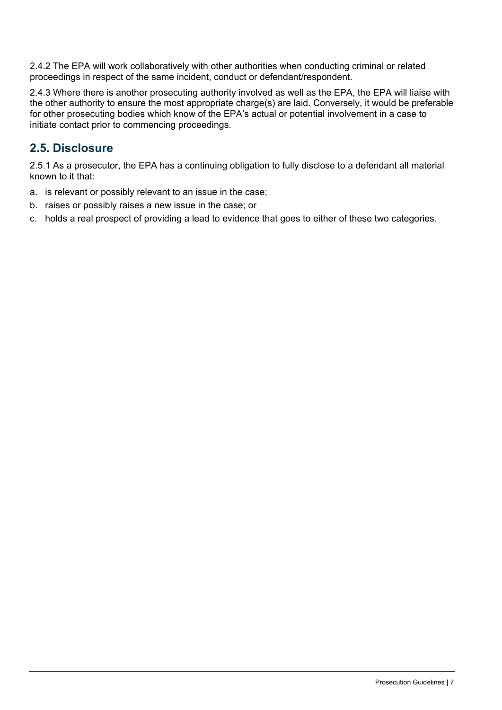2.4.2 The EPA will work collaboratively with other authorities when conducting criminal or related proceedings in respect of the same incident, conduct or defendant/respondent.

2.4.3 Where there is another prosecuting authority involved as well as the EPA, the EPA will liaise with the other authority to ensure the most appropriate charge(s) are laid. Conversely, it would be preferable for other prosecuting bodies which know of the EPA's actual or potential involvement in a case to initiate contact prior to commencing proceedings.

#### <span id="page-10-0"></span>**2.5. Disclosure**

2.5.1 As a prosecutor, the EPA has a continuing obligation to fully disclose to a defendant all material known to it that:

- a. is relevant or possibly relevant to an issue in the case;
- b. raises or possibly raises a new issue in the case; or
- c. holds a real prospect of providing a lead to evidence that goes to either of these two categories.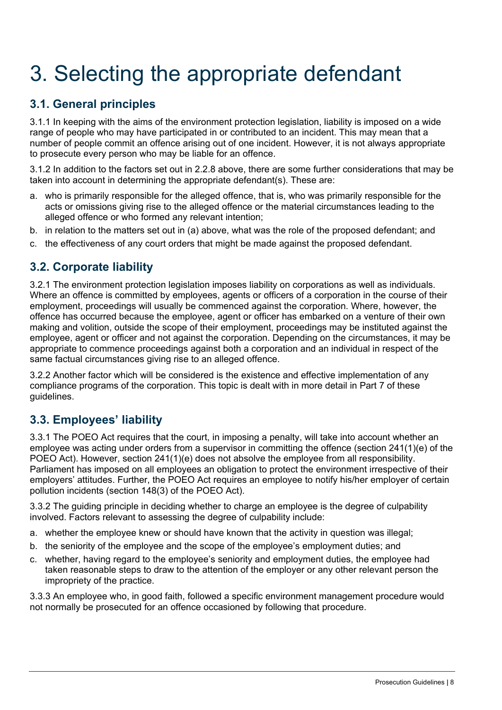# <span id="page-11-0"></span>3. Selecting the appropriate defendant

### <span id="page-11-1"></span>**3.1. General principles**

3.1.1 In keeping with the aims of the environment protection legislation, liability is imposed on a wide range of people who may have participated in or contributed to an incident. This may mean that a number of people commit an offence arising out of one incident. However, it is not always appropriate to prosecute every person who may be liable for an offence.

3.1.2 In addition to the factors set out in 2.2.8 above, there are some further considerations that may be taken into account in determining the appropriate defendant(s). These are:

- a. who is primarily responsible for the alleged offence, that is, who was primarily responsible for the acts or omissions giving rise to the alleged offence or the material circumstances leading to the alleged offence or who formed any relevant intention;
- b. in relation to the matters set out in (a) above, what was the role of the proposed defendant; and
- c. the effectiveness of any court orders that might be made against the proposed defendant.

#### <span id="page-11-2"></span>**3.2. Corporate liability**

3.2.1 The environment protection legislation imposes liability on corporations as well as individuals. Where an offence is committed by employees, agents or officers of a corporation in the course of their employment, proceedings will usually be commenced against the corporation. Where, however, the offence has occurred because the employee, agent or officer has embarked on a venture of their own making and volition, outside the scope of their employment, proceedings may be instituted against the employee, agent or officer and not against the corporation. Depending on the circumstances, it may be appropriate to commence proceedings against both a corporation and an individual in respect of the same factual circumstances giving rise to an alleged offence.

3.2.2 Another factor which will be considered is the existence and effective implementation of any compliance programs of the corporation. This topic is dealt with in more detail in Part 7 of these guidelines.

#### <span id="page-11-3"></span>**3.3. Employees' liability**

3.3.1 The POEO Act requires that the court, in imposing a penalty, will take into account whether an employee was acting under orders from a supervisor in committing the offence (section 241(1)(e) of the POEO Act). However, section 241(1)(e) does not absolve the employee from all responsibility. Parliament has imposed on all employees an obligation to protect the environment irrespective of their employers' attitudes. Further, the POEO Act requires an employee to notify his/her employer of certain pollution incidents (section 148(3) of the POEO Act).

3.3.2 The guiding principle in deciding whether to charge an employee is the degree of culpability involved. Factors relevant to assessing the degree of culpability include:

- a. whether the employee knew or should have known that the activity in question was illegal;
- b. the seniority of the employee and the scope of the employee's employment duties; and
- c. whether, having regard to the employee's seniority and employment duties, the employee had taken reasonable steps to draw to the attention of the employer or any other relevant person the impropriety of the practice.

3.3.3 An employee who, in good faith, followed a specific environment management procedure would not normally be prosecuted for an offence occasioned by following that procedure.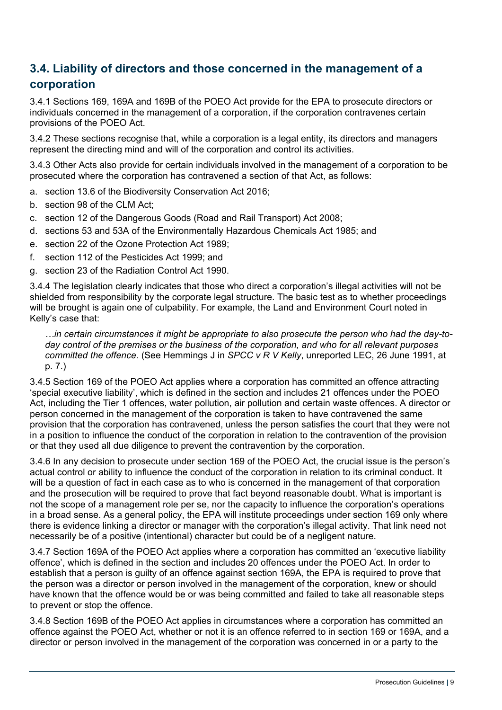### <span id="page-12-0"></span>**3.4. Liability of directors and those concerned in the management of a corporation**

3.4.1 Sections 169, 169A and 169B of the POEO Act provide for the EPA to prosecute directors or individuals concerned in the management of a corporation, if the corporation contravenes certain provisions of the POEO Act.

3.4.2 These sections recognise that, while a corporation is a legal entity, its directors and managers represent the directing mind and will of the corporation and control its activities.

3.4.3 Other Acts also provide for certain individuals involved in the management of a corporation to be prosecuted where the corporation has contravened a section of that Act, as follows:

- a. section 13.6 of the Biodiversity Conservation Act 2016;
- b. section 98 of the CLM Act;
- c. section 12 of the Dangerous Goods (Road and Rail Transport) Act 2008;
- d. sections 53 and 53A of the Environmentally Hazardous Chemicals Act 1985; and
- e. section 22 of the Ozone Protection Act 1989;
- f. section 112 of the Pesticides Act 1999; and
- g. section 23 of the Radiation Control Act 1990.

3.4.4 The legislation clearly indicates that those who direct a corporation's illegal activities will not be shielded from responsibility by the corporate legal structure. The basic test as to whether proceedings will be brought is again one of culpability. For example, the Land and Environment Court noted in Kelly's case that:

*…in certain circumstances it might be appropriate to also prosecute the person who had the day-today control of the premises or the business of the corporation, and who for all relevant purposes committed the offence.* (See Hemmings J in *SPCC v R V Kelly*, unreported LEC, 26 June 1991, at p. 7.)

3.4.5 Section 169 of the POEO Act applies where a corporation has committed an offence attracting 'special executive liability', which is defined in the section and includes 21 offences under the POEO Act, including the Tier 1 offences, water pollution, air pollution and certain waste offences. A director or person concerned in the management of the corporation is taken to have contravened the same provision that the corporation has contravened, unless the person satisfies the court that they were not in a position to influence the conduct of the corporation in relation to the contravention of the provision or that they used all due diligence to prevent the contravention by the corporation.

3.4.6 In any decision to prosecute under section 169 of the POEO Act, the crucial issue is the person's actual control or ability to influence the conduct of the corporation in relation to its criminal conduct. It will be a question of fact in each case as to who is concerned in the management of that corporation and the prosecution will be required to prove that fact beyond reasonable doubt. What is important is not the scope of a management role per se, nor the capacity to influence the corporation's operations in a broad sense. As a general policy, the EPA will institute proceedings under section 169 only where there is evidence linking a director or manager with the corporation's illegal activity. That link need not necessarily be of a positive (intentional) character but could be of a negligent nature.

3.4.7 Section 169A of the POEO Act applies where a corporation has committed an 'executive liability offence', which is defined in the section and includes 20 offences under the POEO Act. In order to establish that a person is guilty of an offence against section 169A, the EPA is required to prove that the person was a director or person involved in the management of the corporation, knew or should have known that the offence would be or was being committed and failed to take all reasonable steps to prevent or stop the offence.

3.4.8 Section 169B of the POEO Act applies in circumstances where a corporation has committed an offence against the POEO Act, whether or not it is an offence referred to in section 169 or 169A, and a director or person involved in the management of the corporation was concerned in or a party to the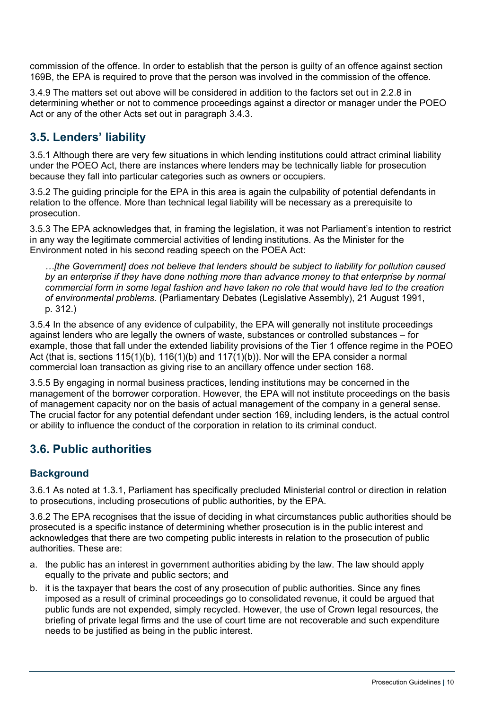commission of the offence. In order to establish that the person is guilty of an offence against section 169B, the EPA is required to prove that the person was involved in the commission of the offence.

3.4.9 The matters set out above will be considered in addition to the factors set out in 2.2.8 in determining whether or not to commence proceedings against a director or manager under the POEO Act or any of the other Acts set out in paragraph 3.4.3.

#### <span id="page-13-0"></span>**3.5. Lenders' liability**

3.5.1 Although there are very few situations in which lending institutions could attract criminal liability under the POEO Act, there are instances where lenders may be technically liable for prosecution because they fall into particular categories such as owners or occupiers.

3.5.2 The guiding principle for the EPA in this area is again the culpability of potential defendants in relation to the offence. More than technical legal liability will be necessary as a prerequisite to prosecution.

3.5.3 The EPA acknowledges that, in framing the legislation, it was not Parliament's intention to restrict in any way the legitimate commercial activities of lending institutions. As the Minister for the Environment noted in his second reading speech on the POEA Act:

*…[the Government] does not believe that lenders should be subject to liability for pollution caused by an enterprise if they have done nothing more than advance money to that enterprise by normal commercial form in some legal fashion and have taken no role that would have led to the creation of environmental problems.* (Parliamentary Debates (Legislative Assembly), 21 August 1991, p. 312.)

3.5.4 In the absence of any evidence of culpability, the EPA will generally not institute proceedings against lenders who are legally the owners of waste, substances or controlled substances – for example, those that fall under the extended liability provisions of the Tier 1 offence regime in the POEO Act (that is, sections 115(1)(b), 116(1)(b) and 117(1)(b)). Nor will the EPA consider a normal commercial loan transaction as giving rise to an ancillary offence under section 168.

3.5.5 By engaging in normal business practices, lending institutions may be concerned in the management of the borrower corporation. However, the EPA will not institute proceedings on the basis of management capacity nor on the basis of actual management of the company in a general sense. The crucial factor for any potential defendant under section 169, including lenders, is the actual control or ability to influence the conduct of the corporation in relation to its criminal conduct.

#### <span id="page-13-1"></span>**3.6. Public authorities**

#### <span id="page-13-2"></span>**Background**

3.6.1 As noted at 1.3.1, Parliament has specifically precluded Ministerial control or direction in relation to prosecutions, including prosecutions of public authorities, by the EPA.

3.6.2 The EPA recognises that the issue of deciding in what circumstances public authorities should be prosecuted is a specific instance of determining whether prosecution is in the public interest and acknowledges that there are two competing public interests in relation to the prosecution of public authorities. These are:

- a. the public has an interest in government authorities abiding by the law. The law should apply equally to the private and public sectors; and
- b. it is the taxpayer that bears the cost of any prosecution of public authorities. Since any fines imposed as a result of criminal proceedings go to consolidated revenue, it could be argued that public funds are not expended, simply recycled. However, the use of Crown legal resources, the briefing of private legal firms and the use of court time are not recoverable and such expenditure needs to be justified as being in the public interest.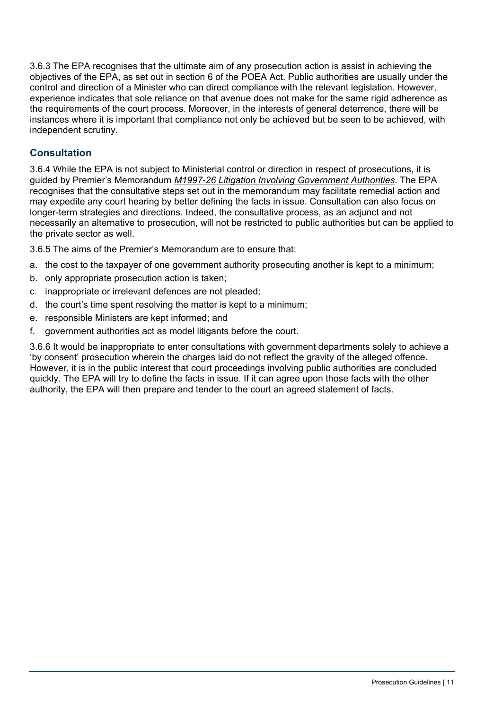3.6.3 The EPA recognises that the ultimate aim of any prosecution action is assist in achieving the objectives of the EPA, as set out in section 6 of the POEA Act. Public authorities are usually under the control and direction of a Minister who can direct compliance with the relevant legislation. However, experience indicates that sole reliance on that avenue does not make for the same rigid adherence as the requirements of the court process. Moreover, in the interests of general deterrence, there will be instances where it is important that compliance not only be achieved but be seen to be achieved, with independent scrutiny.

#### <span id="page-14-0"></span>**Consultation**

3.6.4 While the EPA is not subject to Ministerial control or direction in respect of prosecutions, it is guided by Premier's Memorandum *[M1997-26 Litigation Involving Government Authorities](https://arp.nsw.gov.au/m1997-26-litigation-involving-government-authorities/)*. The EPA recognises that the consultative steps set out in the memorandum may facilitate remedial action and may expedite any court hearing by better defining the facts in issue. Consultation can also focus on longer-term strategies and directions. Indeed, the consultative process, as an adjunct and not necessarily an alternative to prosecution, will not be restricted to public authorities but can be applied to the private sector as well.

3.6.5 The aims of the Premier's Memorandum are to ensure that:

- a. the cost to the taxpayer of one government authority prosecuting another is kept to a minimum;
- b. only appropriate prosecution action is taken;
- c. inappropriate or irrelevant defences are not pleaded;
- d. the court's time spent resolving the matter is kept to a minimum;
- e. responsible Ministers are kept informed; and
- f. government authorities act as model litigants before the court.

3.6.6 It would be inappropriate to enter consultations with government departments solely to achieve a 'by consent' prosecution wherein the charges laid do not reflect the gravity of the alleged offence. However, it is in the public interest that court proceedings involving public authorities are concluded quickly. The EPA will try to define the facts in issue. If it can agree upon those facts with the other authority, the EPA will then prepare and tender to the court an agreed statement of facts.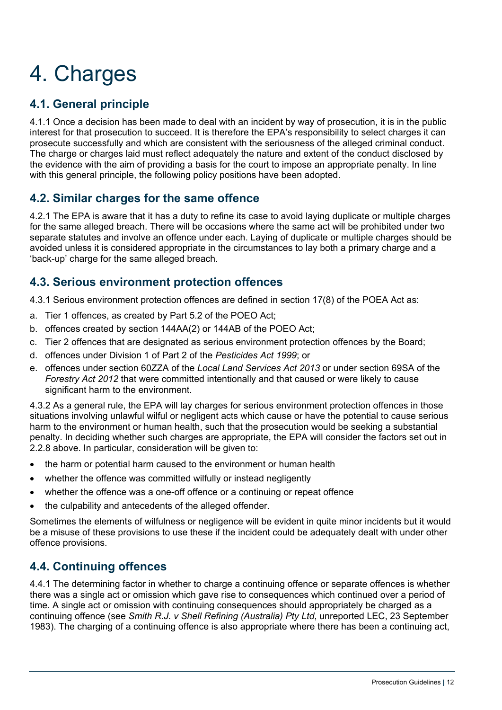# <span id="page-15-0"></span>4. Charges

# <span id="page-15-1"></span>**4.1. General principle**

4.1.1 Once a decision has been made to deal with an incident by way of prosecution, it is in the public interest for that prosecution to succeed. It is therefore the EPA's responsibility to select charges it can prosecute successfully and which are consistent with the seriousness of the alleged criminal conduct. The charge or charges laid must reflect adequately the nature and extent of the conduct disclosed by the evidence with the aim of providing a basis for the court to impose an appropriate penalty. In line with this general principle, the following policy positions have been adopted.

#### <span id="page-15-2"></span>**4.2. Similar charges for the same offence**

4.2.1 The EPA is aware that it has a duty to refine its case to avoid laying duplicate or multiple charges for the same alleged breach. There will be occasions where the same act will be prohibited under two separate statutes and involve an offence under each. Laying of duplicate or multiple charges should be avoided unless it is considered appropriate in the circumstances to lay both a primary charge and a 'back-up' charge for the same alleged breach.

#### <span id="page-15-3"></span>**4.3. Serious environment protection offences**

4.3.1 Serious environment protection offences are defined in section 17(8) of the POEA Act as:

- a. Tier 1 offences, as created by Part 5.2 of the POEO Act;
- b. offences created by section 144AA(2) or 144AB of the POEO Act;
- c. Tier 2 offences that are designated as serious environment protection offences by the Board;
- d. offences under Division 1 of Part 2 of the *Pesticides Act 1999*; or
- e. offences under section 60ZZA of the *Local Land Services Act 2013* or under section 69SA of the *Forestry Act 2012* that were committed intentionally and that caused or were likely to cause significant harm to the environment.

4.3.2 As a general rule, the EPA will lay charges for serious environment protection offences in those situations involving unlawful wilful or negligent acts which cause or have the potential to cause serious harm to the environment or human health, such that the prosecution would be seeking a substantial penalty. In deciding whether such charges are appropriate, the EPA will consider the factors set out in 2.2.8 above. In particular, consideration will be given to:

- the harm or potential harm caused to the environment or human health
- whether the offence was committed wilfully or instead negligently
- whether the offence was a one-off offence or a continuing or repeat offence
- the culpability and antecedents of the alleged offender.

Sometimes the elements of wilfulness or negligence will be evident in quite minor incidents but it would be a misuse of these provisions to use these if the incident could be adequately dealt with under other offence provisions.

# <span id="page-15-4"></span>**4.4. Continuing offences**

4.4.1 The determining factor in whether to charge a continuing offence or separate offences is whether there was a single act or omission which gave rise to consequences which continued over a period of time. A single act or omission with continuing consequences should appropriately be charged as a continuing offence (see *Smith R.J. v Shell Refining (Australia) Pty Ltd*, unreported LEC, 23 September 1983). The charging of a continuing offence is also appropriate where there has been a continuing act,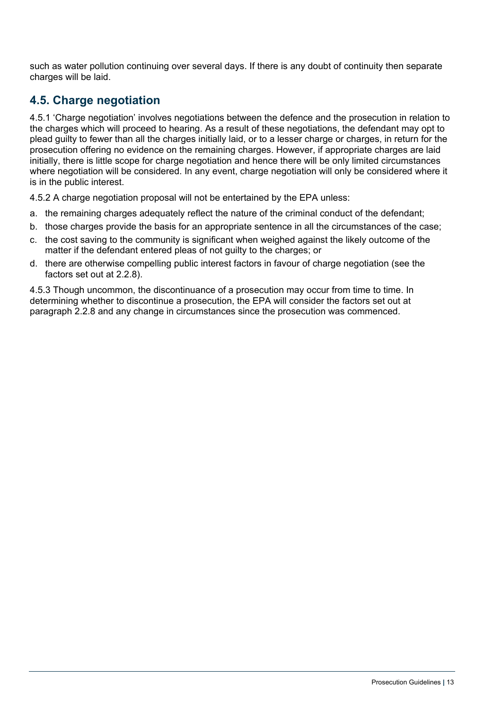such as water pollution continuing over several days. If there is any doubt of continuity then separate charges will be laid.

#### <span id="page-16-0"></span>**4.5. Charge negotiation**

4.5.1 'Charge negotiation' involves negotiations between the defence and the prosecution in relation to the charges which will proceed to hearing. As a result of these negotiations, the defendant may opt to plead guilty to fewer than all the charges initially laid, or to a lesser charge or charges, in return for the prosecution offering no evidence on the remaining charges. However, if appropriate charges are laid initially, there is little scope for charge negotiation and hence there will be only limited circumstances where negotiation will be considered. In any event, charge negotiation will only be considered where it is in the public interest.

4.5.2 A charge negotiation proposal will not be entertained by the EPA unless:

- a. the remaining charges adequately reflect the nature of the criminal conduct of the defendant;
- b. those charges provide the basis for an appropriate sentence in all the circumstances of the case;
- c. the cost saving to the community is significant when weighed against the likely outcome of the matter if the defendant entered pleas of not guilty to the charges; or
- d. there are otherwise compelling public interest factors in favour of charge negotiation (see the factors set out at 2.2.8).

4.5.3 Though uncommon, the discontinuance of a prosecution may occur from time to time. In determining whether to discontinue a prosecution, the EPA will consider the factors set out at paragraph 2.2.8 and any change in circumstances since the prosecution was commenced.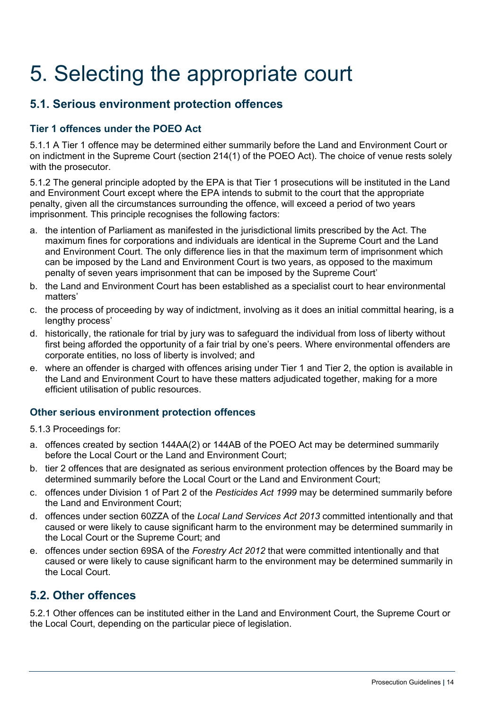# <span id="page-17-0"></span>5. Selecting the appropriate court

#### <span id="page-17-1"></span>**5.1. Serious environment protection offences**

#### <span id="page-17-2"></span>**Tier 1 offences under the POEO Act**

5.1.1 A Tier 1 offence may be determined either summarily before the Land and Environment Court or on indictment in the Supreme Court (section 214(1) of the POEO Act). The choice of venue rests solely with the prosecutor.

5.1.2 The general principle adopted by the EPA is that Tier 1 prosecutions will be instituted in the Land and Environment Court except where the EPA intends to submit to the court that the appropriate penalty, given all the circumstances surrounding the offence, will exceed a period of two years imprisonment. This principle recognises the following factors:

- a. the intention of Parliament as manifested in the jurisdictional limits prescribed by the Act. The maximum fines for corporations and individuals are identical in the Supreme Court and the Land and Environment Court. The only difference lies in that the maximum term of imprisonment which can be imposed by the Land and Environment Court is two years, as opposed to the maximum penalty of seven years imprisonment that can be imposed by the Supreme Court'
- b. the Land and Environment Court has been established as a specialist court to hear environmental matters'
- c. the process of proceeding by way of indictment, involving as it does an initial committal hearing, is a lengthy process'
- d. historically, the rationale for trial by jury was to safeguard the individual from loss of liberty without first being afforded the opportunity of a fair trial by one's peers. Where environmental offenders are corporate entities, no loss of liberty is involved; and
- e. where an offender is charged with offences arising under Tier 1 and Tier 2, the option is available in the Land and Environment Court to have these matters adjudicated together, making for a more efficient utilisation of public resources.

#### <span id="page-17-3"></span>**Other serious environment protection offences**

- 5.1.3 Proceedings for:
- a. offences created by section 144AA(2) or 144AB of the POEO Act may be determined summarily before the Local Court or the Land and Environment Court;
- b. tier 2 offences that are designated as serious environment protection offences by the Board may be determined summarily before the Local Court or the Land and Environment Court;
- c. offences under Division 1 of Part 2 of the *Pesticides Act 1999* may be determined summarily before the Land and Environment Court;
- d. offences under section 60ZZA of the *Local Land Services Act 2013* committed intentionally and that caused or were likely to cause significant harm to the environment may be determined summarily in the Local Court or the Supreme Court; and
- e. offences under section 69SA of the *Forestry Act 2012* that were committed intentionally and that caused or were likely to cause significant harm to the environment may be determined summarily in the Local Court.

#### <span id="page-17-4"></span>**5.2. Other offences**

5.2.1 Other offences can be instituted either in the Land and Environment Court, the Supreme Court or the Local Court, depending on the particular piece of legislation.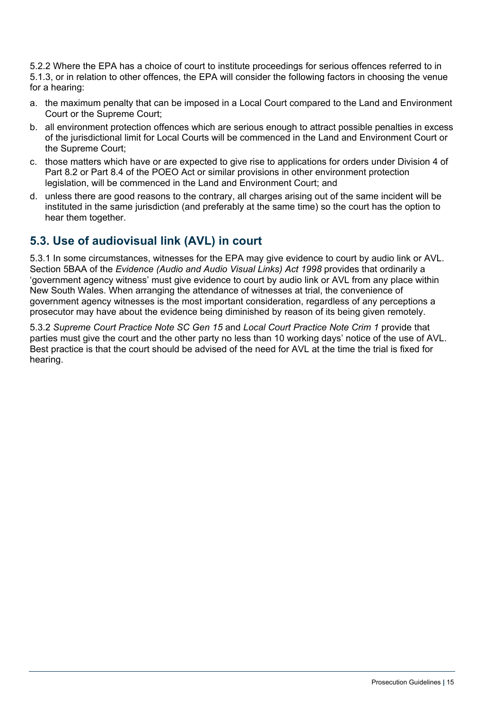5.2.2 Where the EPA has a choice of court to institute proceedings for serious offences referred to in 5.1.3, or in relation to other offences, the EPA will consider the following factors in choosing the venue for a hearing:

- a. the maximum penalty that can be imposed in a Local Court compared to the Land and Environment Court or the Supreme Court;
- b. all environment protection offences which are serious enough to attract possible penalties in excess of the jurisdictional limit for Local Courts will be commenced in the Land and Environment Court or the Supreme Court;
- c. those matters which have or are expected to give rise to applications for orders under Division 4 of Part 8.2 or Part 8.4 of the POEO Act or similar provisions in other environment protection legislation, will be commenced in the Land and Environment Court; and
- d. unless there are good reasons to the contrary, all charges arising out of the same incident will be instituted in the same jurisdiction (and preferably at the same time) so the court has the option to hear them together.

### <span id="page-18-0"></span>**5.3. Use of audiovisual link (AVL) in court**

5.3.1 In some circumstances, witnesses for the EPA may give evidence to court by audio link or AVL. Section 5BAA of the *Evidence (Audio and Audio Visual Links) Act 1998* provides that ordinarily a 'government agency witness' must give evidence to court by audio link or AVL from any place within New South Wales. When arranging the attendance of witnesses at trial, the convenience of government agency witnesses is the most important consideration, regardless of any perceptions a prosecutor may have about the evidence being diminished by reason of its being given remotely.

5.3.2 *Supreme Court Practice Note SC Gen 15* and *Local Court Practice Note Crim 1* provide that parties must give the court and the other party no less than 10 working days' notice of the use of AVL. Best practice is that the court should be advised of the need for AVL at the time the trial is fixed for hearing.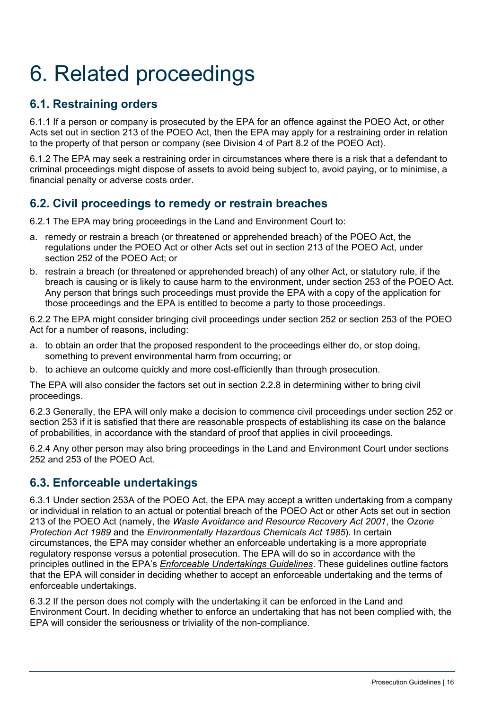# <span id="page-19-0"></span>6. Related proceedings

### <span id="page-19-1"></span>**6.1. Restraining orders**

6.1.1 If a person or company is prosecuted by the EPA for an offence against the POEO Act, or other Acts set out in section 213 of the POEO Act, then the EPA may apply for a restraining order in relation to the property of that person or company (see Division 4 of Part 8.2 of the POEO Act).

6.1.2 The EPA may seek a restraining order in circumstances where there is a risk that a defendant to criminal proceedings might dispose of assets to avoid being subject to, avoid paying, or to minimise, a financial penalty or adverse costs order.

### <span id="page-19-2"></span>**6.2. Civil proceedings to remedy or restrain breaches**

6.2.1 The EPA may bring proceedings in the Land and Environment Court to:

- a. remedy or restrain a breach (or threatened or apprehended breach) of the POEO Act, the regulations under the POEO Act or other Acts set out in section 213 of the POEO Act, under section 252 of the POEO Act; or
- b. restrain a breach (or threatened or apprehended breach) of any other Act, or statutory rule, if the breach is causing or is likely to cause harm to the environment, under section 253 of the POEO Act. Any person that brings such proceedings must provide the EPA with a copy of the application for those proceedings and the EPA is entitled to become a party to those proceedings.

6.2.2 The EPA might consider bringing civil proceedings under section 252 or section 253 of the POEO Act for a number of reasons, including:

- a. to obtain an order that the proposed respondent to the proceedings either do, or stop doing, something to prevent environmental harm from occurring; or
- b. to achieve an outcome quickly and more cost-efficiently than through prosecution.

The EPA will also consider the factors set out in section 2.2.8 in determining wither to bring civil proceedings.

6.2.3 Generally, the EPA will only make a decision to commence civil proceedings under section 252 or section 253 if it is satisfied that there are reasonable prospects of establishing its case on the balance of probabilities, in accordance with the standard of proof that applies in civil proceedings.

6.2.4 Any other person may also bring proceedings in the Land and Environment Court under sections 252 and 253 of the POEO Act.

#### <span id="page-19-3"></span>**6.3. Enforceable undertakings**

6.3.1 Under section 253A of the POEO Act, the EPA may accept a written undertaking from a company or individual in relation to an actual or potential breach of the POEO Act or other Acts set out in section 213 of the POEO Act (namely, the *Waste Avoidance and Resource Recovery Act 2001*, the *Ozone Protection Act 1989* and the *Environmentally Hazardous Chemicals Act 1985*). In certain circumstances, the EPA may consider whether an enforceable undertaking is a more appropriate regulatory response versus a potential prosecution. The EPA will do so in accordance with the principles outlined in the EPA's *[Enforceable Undertakings Guidelines](https://www.epa.nsw.gov.au/licensing-and-regulation/legislation-and-compliance/policies-and-guidelines/guidelines-seeking-enviro-court-orders)*. These guidelines outline factors that the EPA will consider in deciding whether to accept an enforceable undertaking and the terms of enforceable undertakings.

6.3.2 If the person does not comply with the undertaking it can be enforced in the Land and Environment Court. In deciding whether to enforce an undertaking that has not been complied with, the EPA will consider the seriousness or triviality of the non-compliance.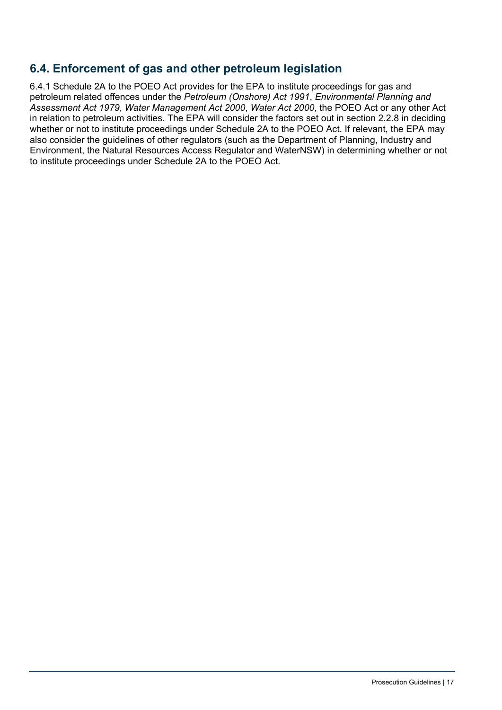### <span id="page-20-0"></span>**6.4. Enforcement of gas and other petroleum legislation**

6.4.1 Schedule 2A to the POEO Act provides for the EPA to institute proceedings for gas and petroleum related offences under the *Petroleum (Onshore) Act 1991*, *Environmental Planning and Assessment Act 1979*, *Water Management Act 2000*, *Water Act 2000*, the POEO Act or any other Act in relation to petroleum activities. The EPA will consider the factors set out in section 2.2.8 in deciding whether or not to institute proceedings under Schedule 2A to the POEO Act. If relevant, the EPA may also consider the guidelines of other regulators (such as the Department of Planning, Industry and Environment, the Natural Resources Access Regulator and WaterNSW) in determining whether or not to institute proceedings under Schedule 2A to the POEO Act.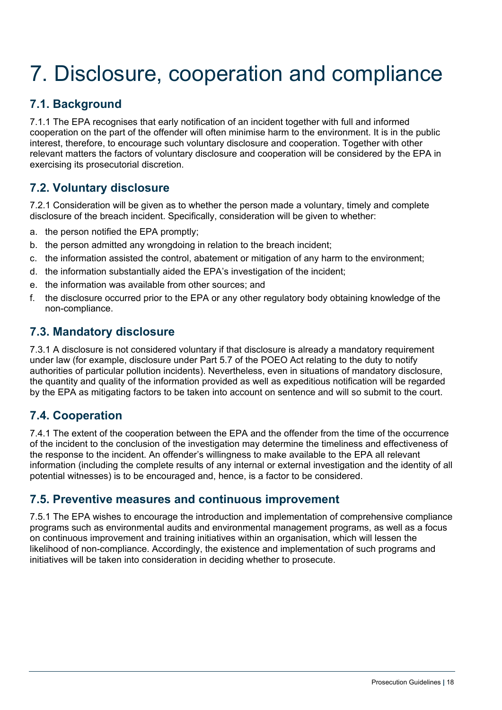# <span id="page-21-0"></span>7. Disclosure, cooperation and compliance

# <span id="page-21-1"></span>**7.1. Background**

7.1.1 The EPA recognises that early notification of an incident together with full and informed cooperation on the part of the offender will often minimise harm to the environment. It is in the public interest, therefore, to encourage such voluntary disclosure and cooperation. Together with other relevant matters the factors of voluntary disclosure and cooperation will be considered by the EPA in exercising its prosecutorial discretion.

### <span id="page-21-2"></span>**7.2. Voluntary disclosure**

7.2.1 Consideration will be given as to whether the person made a voluntary, timely and complete disclosure of the breach incident. Specifically, consideration will be given to whether:

- a. the person notified the EPA promptly;
- b. the person admitted any wrongdoing in relation to the breach incident;
- c. the information assisted the control, abatement or mitigation of any harm to the environment;
- d. the information substantially aided the EPA's investigation of the incident;
- e. the information was available from other sources; and
- f. the disclosure occurred prior to the EPA or any other regulatory body obtaining knowledge of the non-compliance.

#### <span id="page-21-3"></span>**7.3. Mandatory disclosure**

7.3.1 A disclosure is not considered voluntary if that disclosure is already a mandatory requirement under law (for example, disclosure under Part 5.7 of the POEO Act relating to the duty to notify authorities of particular pollution incidents). Nevertheless, even in situations of mandatory disclosure, the quantity and quality of the information provided as well as expeditious notification will be regarded by the EPA as mitigating factors to be taken into account on sentence and will so submit to the court.

#### <span id="page-21-4"></span>**7.4. Cooperation**

7.4.1 The extent of the cooperation between the EPA and the offender from the time of the occurrence of the incident to the conclusion of the investigation may determine the timeliness and effectiveness of the response to the incident. An offender's willingness to make available to the EPA all relevant information (including the complete results of any internal or external investigation and the identity of all potential witnesses) is to be encouraged and, hence, is a factor to be considered.

#### <span id="page-21-5"></span>**7.5. Preventive measures and continuous improvement**

7.5.1 The EPA wishes to encourage the introduction and implementation of comprehensive compliance programs such as environmental audits and environmental management programs, as well as a focus on continuous improvement and training initiatives within an organisation, which will lessen the likelihood of non-compliance. Accordingly, the existence and implementation of such programs and initiatives will be taken into consideration in deciding whether to prosecute.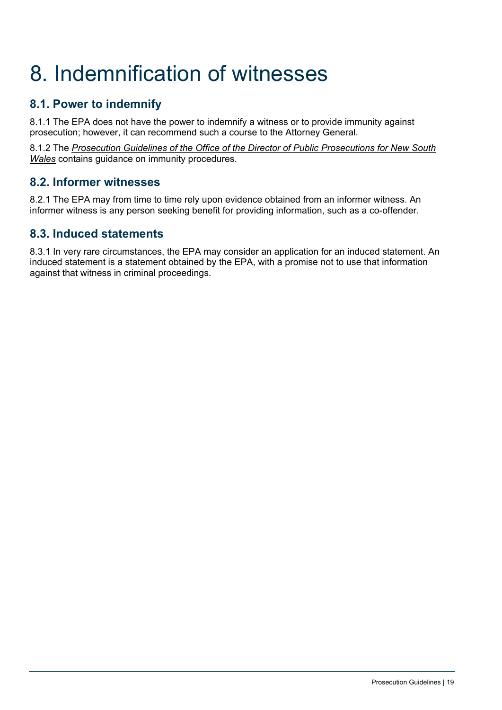# <span id="page-22-0"></span>8. Indemnification of witnesses

# <span id="page-22-1"></span>**8.1. Power to indemnify**

8.1.1 The EPA does not have the power to indemnify a witness or to provide immunity against prosecution; however, it can recommend such a course to the Attorney General.

8.1.2 The *[Prosecution Guidelines of the Office of the Director of Public](https://www.odpp.nsw.gov.au/prosecution-guidance/prosecution-guidelines) [Prosecutions for New South](https://www.odpp.nsw.gov.au/prosecution-guidelines-0)  [Wales](https://www.odpp.nsw.gov.au/prosecution-guidelines-0)* contains guidance on immunity procedures.

#### <span id="page-22-2"></span>**8.2. Informer witnesses**

8.2.1 The EPA may from time to time rely upon evidence obtained from an informer witness. An informer witness is any person seeking benefit for providing information, such as a co-offender.

#### <span id="page-22-3"></span>**8.3. Induced statements**

8.3.1 In very rare circumstances, the EPA may consider an application for an induced statement. An induced statement is a statement obtained by the EPA, with a promise not to use that information against that witness in criminal proceedings.